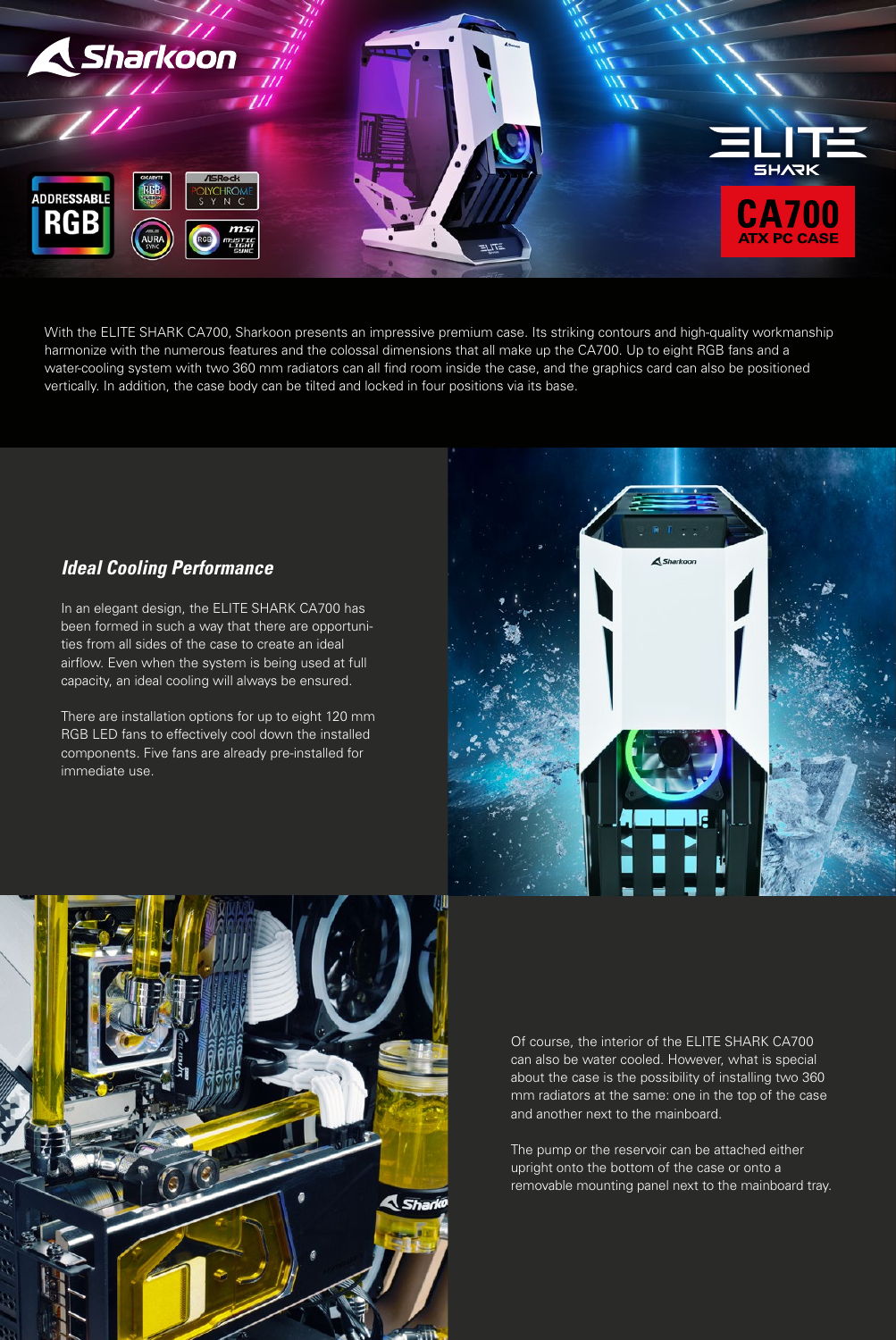

With the ELITE SHARK CA700, Sharkoon presents an impressive premium case. Its striking contours and high-quality workmanship harmonize with the numerous features and the colossal dimensions that all make up the CA700. Up to eight RGB fans and a water-cooling system with two 360 mm radiators can all find room inside the case, and the graphics card can also be positioned vertically. In addition, the case body can be tilted and locked in four positions via its base.

### *Ideal Cooling Performance*

In an elegant design, the ELITE SHARK CA700 has been formed in such a way that there are opportunities from all sides of the case to create an ideal airflow. Even when the system is being used at full capacity, an ideal cooling will always be ensured.

There are installation options for up to eight 120 mm RGB LED fans to effectively cool down the installed components. Five fans are already pre-installed for immediate use.





Of course, the interior of the ELITE SHARK CA700 can also be water cooled. However, what is special about the case is the possibility of installing two 360 mm radiators at the same: one in the top of the case and another next to the mainboard.

The pump or the reservoir can be attached either upright onto the bottom of the case or onto a removable mounting panel next to the mainboard tray.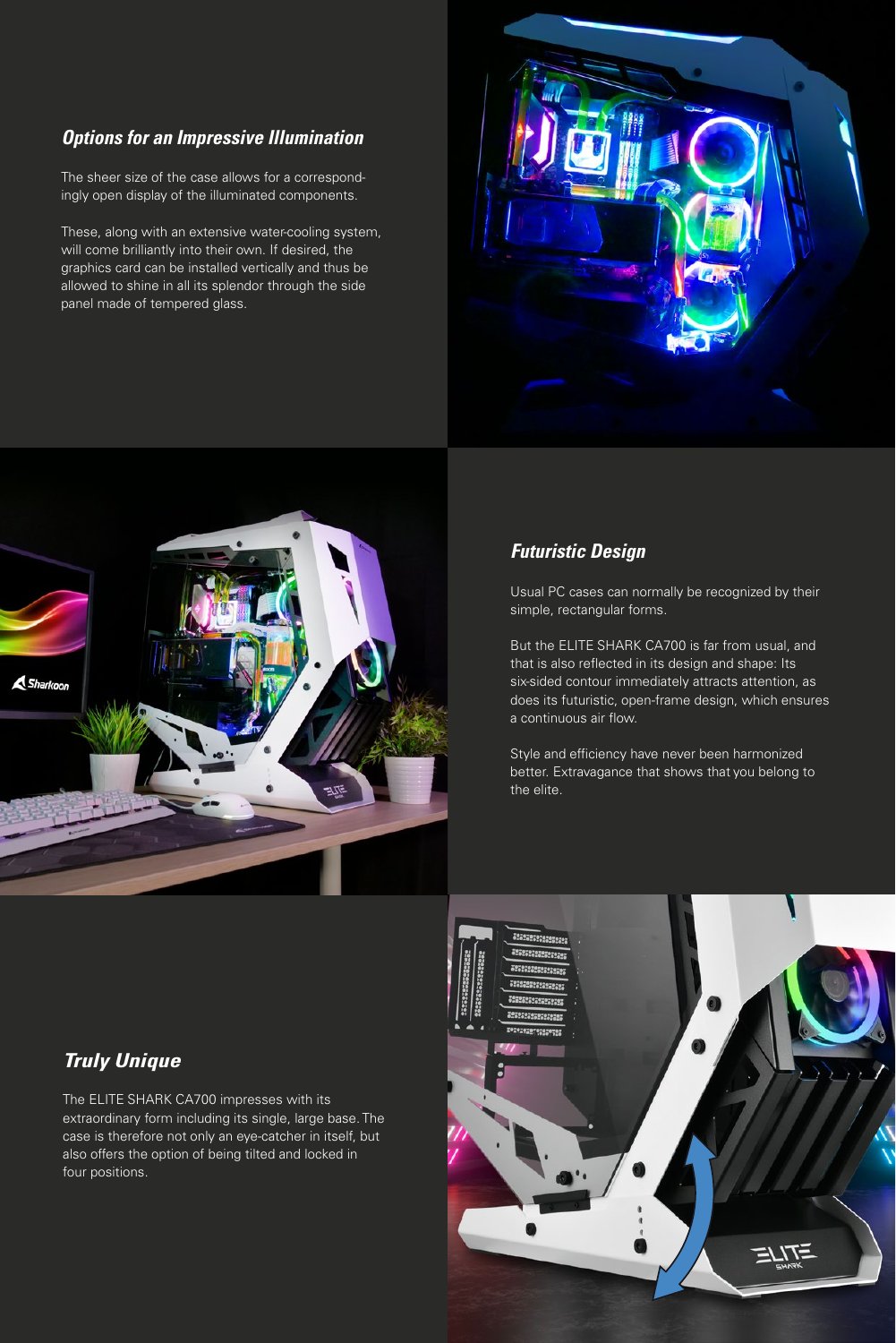### *Options for an Impressive Illumination*

The sheer size of the case allows for a correspondingly open display of the illuminated components.

These, along with an extensive water-cooling system, will come brilliantly into their own. If desired, the graphics card can be installed vertically and thus be allowed to shine in all its splendor through the side panel made of tempered glass.





### *Futuristic Design*

Usual PC cases can normally be recognized by their simple, rectangular forms.

But the ELITE SHARK CA700 is far from usual, and that is also reflected in its design and shape: Its six-sided contour immediately attracts attention, as does its futuristic, open-frame design, which ensures a continuous air flow.

Style and efficiency have never been harmonized better. Extravagance that shows that you belong to the elite.

# *Truly Unique*

The ELITE SHARK CA700 impresses with its extraordinary form including its single, large base. The case is therefore not only an eye-catcher in itself, but also offers the option of being tilted and locked in four positions.